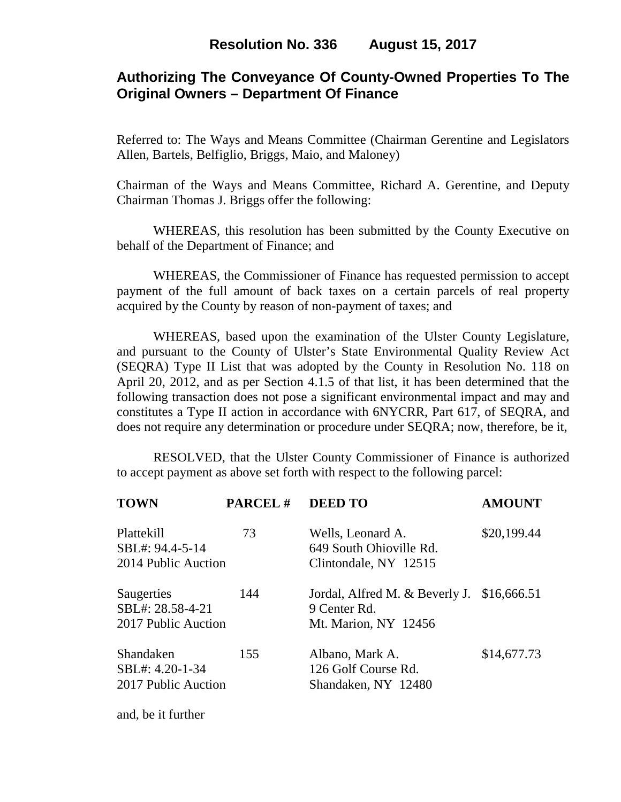# **Authorizing The Conveyance Of County-Owned Properties To The Original Owners – Department Of Finance**

Referred to: The Ways and Means Committee (Chairman Gerentine and Legislators Allen, Bartels, Belfiglio, Briggs, Maio, and Maloney)

Chairman of the Ways and Means Committee, Richard A. Gerentine, and Deputy Chairman Thomas J. Briggs offer the following:

 WHEREAS, this resolution has been submitted by the County Executive on behalf of the Department of Finance; and

 WHEREAS, the Commissioner of Finance has requested permission to accept payment of the full amount of back taxes on a certain parcels of real property acquired by the County by reason of non-payment of taxes; and

WHEREAS, based upon the examination of the Ulster County Legislature, and pursuant to the County of Ulster's State Environmental Quality Review Act (SEQRA) Type II List that was adopted by the County in Resolution No. 118 on April 20, 2012, and as per Section 4.1.5 of that list, it has been determined that the following transaction does not pose a significant environmental impact and may and constitutes a Type II action in accordance with 6NYCRR, Part 617, of SEQRA, and does not require any determination or procedure under SEQRA; now, therefore, be it,

 RESOLVED, that the Ulster County Commissioner of Finance is authorized to accept payment as above set forth with respect to the following parcel:

| <b>TOWN</b>                                           | <b>PARCEL#</b> | <b>DEED TO</b>                                                                        | <b>AMOUNT</b> |
|-------------------------------------------------------|----------------|---------------------------------------------------------------------------------------|---------------|
| Plattekill<br>SBL#: 94.4-5-14<br>2014 Public Auction  | 73             | Wells, Leonard A.<br>649 South Ohioville Rd.<br>Clintondale, NY 12515                 | \$20,199.44   |
| Saugerties<br>SBL#: 28.58-4-21<br>2017 Public Auction | 144            | Jordal, Alfred M. $&$ Beverly J. $$16,666.51$<br>9 Center Rd.<br>Mt. Marion, NY 12456 |               |
| Shandaken<br>SBL#: 4.20-1-34<br>2017 Public Auction   | 155            | Albano, Mark A.<br>126 Golf Course Rd.<br>Shandaken, NY 12480                         | \$14,677.73   |

and, be it further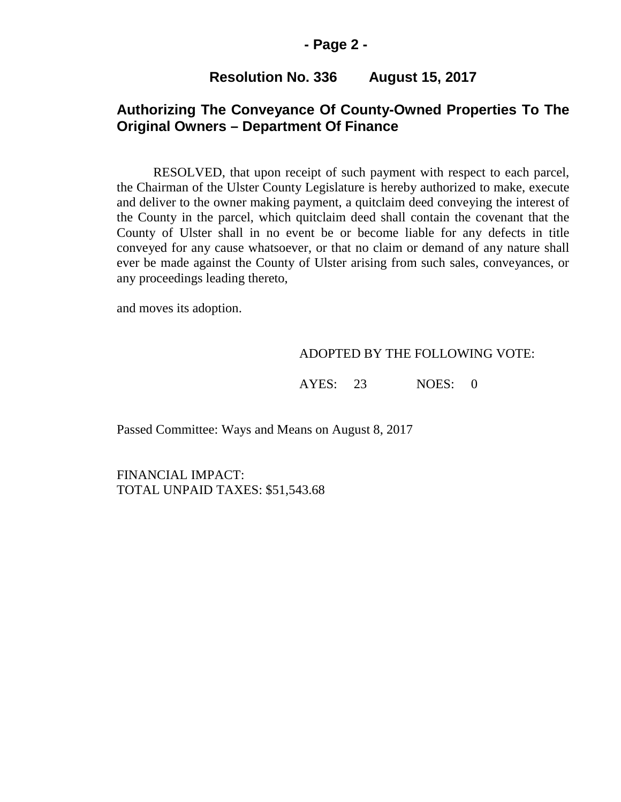### **- Page 2 -**

## **Resolution No. 336 August 15, 2017**

## **Authorizing The Conveyance Of County-Owned Properties To The Original Owners – Department Of Finance**

RESOLVED, that upon receipt of such payment with respect to each parcel, the Chairman of the Ulster County Legislature is hereby authorized to make, execute and deliver to the owner making payment, a quitclaim deed conveying the interest of the County in the parcel, which quitclaim deed shall contain the covenant that the County of Ulster shall in no event be or become liable for any defects in title conveyed for any cause whatsoever, or that no claim or demand of any nature shall ever be made against the County of Ulster arising from such sales, conveyances, or any proceedings leading thereto,

and moves its adoption.

#### ADOPTED BY THE FOLLOWING VOTE:

AYES: 23 NOES: 0

Passed Committee: Ways and Means on August 8, 2017

FINANCIAL IMPACT: TOTAL UNPAID TAXES: \$51,543.68